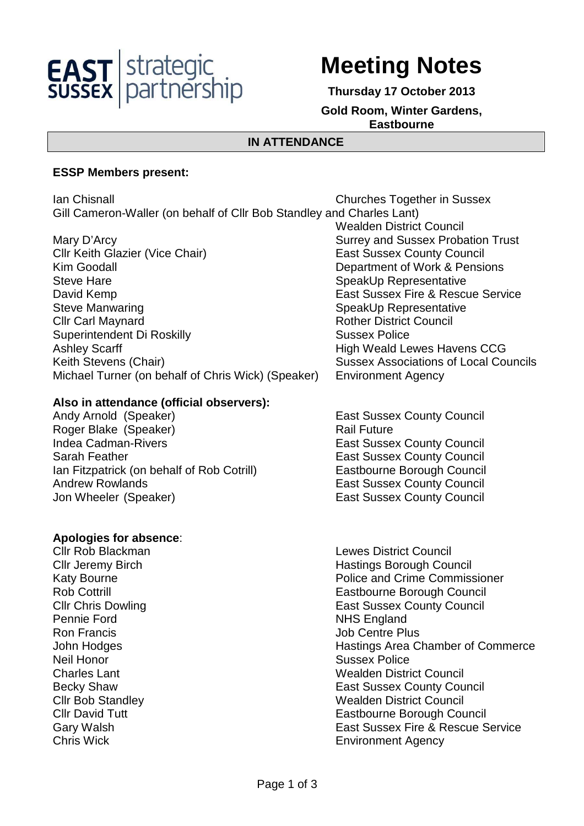

# **Meeting Notes**

**Thursday 17 October 2013** 

#### **Gold Room, Winter Gardens, Eastbourne**

Wealden District Council

## **IN ATTENDANCE**

#### **ESSP Members present:**

Ian Chisnall Churches Together in Sussex Gill Cameron-Waller (on behalf of Cllr Bob Standley and Charles Lant)

Mary D'Arcy **Mary D'Arcy Elects Charlotter Control** Surrey and Sussex Probation Trust<br>Cllr Keith Glazier (Vice Chair) **Surrey Architect Control** East Sussex County Council Cllr Keith Glazier (Vice Chair) Kim Goodall **Example 20** Separtment of Work & Pensions Steve Hare SpeakUp Representative David Kemp **East Sussex Fire & Rescue Service** Steve Manwaring Steve Manwaring Steve Manwaring Steve Manwaring **Clir Carl Maynard Clir Council** Rother District Council Superintendent Di Roskilly Sussex Police Ashley Scarff **High Weald Lewes Havens CCG** Keith Stevens (Chair) Sussex Associations of Local Councils Michael Turner (on behalf of Chris Wick) (Speaker) Environment Agency

## **Also in attendance (official observers):**

Andy Arnold (Speaker) East Sussex County Council Roger Blake (Speaker) Rail Future Indea Cadman-Rivers **East Sussex County Council** Sarah Feather **East Sussex County Council** East Sussex County Council Ian Fitzpatrick (on behalf of Rob Cotrill) Eastbourne Borough Council Andrew Rowlands **East Sussex County Council** Jon Wheeler (Speaker) **East Sussex County Council** 

## **Apologies for absence**:

Pennie Ford NHS England **Ron Francis Contracts Ron Francis Contracts Job Centre Plus** Neil Honor Sussex Police

Cllr Rob Blackman Lewes District Council **Cllr Jeremy Birch Council Exercise Solution Hastings Borough Council** Katy Bourne **Police and Crime Commissioner** Rob Cottrill Eastbourne Borough Council **Cllr Chris Dowling Client Council East Sussex County Council** John Hodges **Hastings Area Chamber of Commerce** Charles Lant Wealden District Council Becky Shaw **East Sussex County Council** Cllr Bob Standley Wealden District Council Cllr David Tutt Eastbourne Borough Council Gary Walsh East Sussex Fire & Rescue Service Chris Wick Environment Agency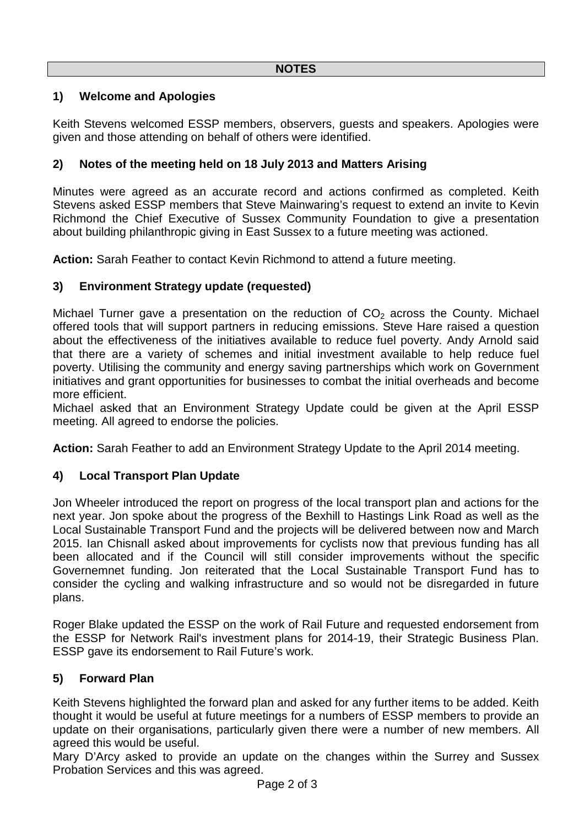# **1) Welcome and Apologies**

Keith Stevens welcomed ESSP members, observers, guests and speakers. Apologies were given and those attending on behalf of others were identified.

## **2) Notes of the meeting held on 18 July 2013 and Matters Arising**

Minutes were agreed as an accurate record and actions confirmed as completed. Keith Stevens asked ESSP members that Steve Mainwaring's request to extend an invite to Kevin Richmond the Chief Executive of Sussex Community Foundation to give a presentation about building philanthropic giving in East Sussex to a future meeting was actioned.

**Action:** Sarah Feather to contact Kevin Richmond to attend a future meeting.

## **3) Environment Strategy update (requested)**

Michael Turner gave a presentation on the reduction of  $CO<sub>2</sub>$  across the County. Michael offered tools that will support partners in reducing emissions. Steve Hare raised a question about the effectiveness of the initiatives available to reduce fuel poverty. Andy Arnold said that there are a variety of schemes and initial investment available to help reduce fuel poverty. Utilising the community and energy saving partnerships which work on Government initiatives and grant opportunities for businesses to combat the initial overheads and become more efficient.

Michael asked that an Environment Strategy Update could be given at the April ESSP meeting. All agreed to endorse the policies.

**Action:** Sarah Feather to add an Environment Strategy Update to the April 2014 meeting.

## **4) Local Transport Plan Update**

Jon Wheeler introduced the report on progress of the local transport plan and actions for the next year. Jon spoke about the progress of the Bexhill to Hastings Link Road as well as the Local Sustainable Transport Fund and the projects will be delivered between now and March 2015. Ian Chisnall asked about improvements for cyclists now that previous funding has all been allocated and if the Council will still consider improvements without the specific Governemnet funding. Jon reiterated that the Local Sustainable Transport Fund has to consider the cycling and walking infrastructure and so would not be disregarded in future plans.

Roger Blake updated the ESSP on the work of Rail Future and requested endorsement from the ESSP for Network Rail's investment plans for 2014-19, their Strategic Business Plan. ESSP gave its endorsement to Rail Future's work.

## **5) Forward Plan**

Keith Stevens highlighted the forward plan and asked for any further items to be added. Keith thought it would be useful at future meetings for a numbers of ESSP members to provide an update on their organisations, particularly given there were a number of new members. All agreed this would be useful.

Mary D'Arcy asked to provide an update on the changes within the Surrey and Sussex Probation Services and this was agreed.